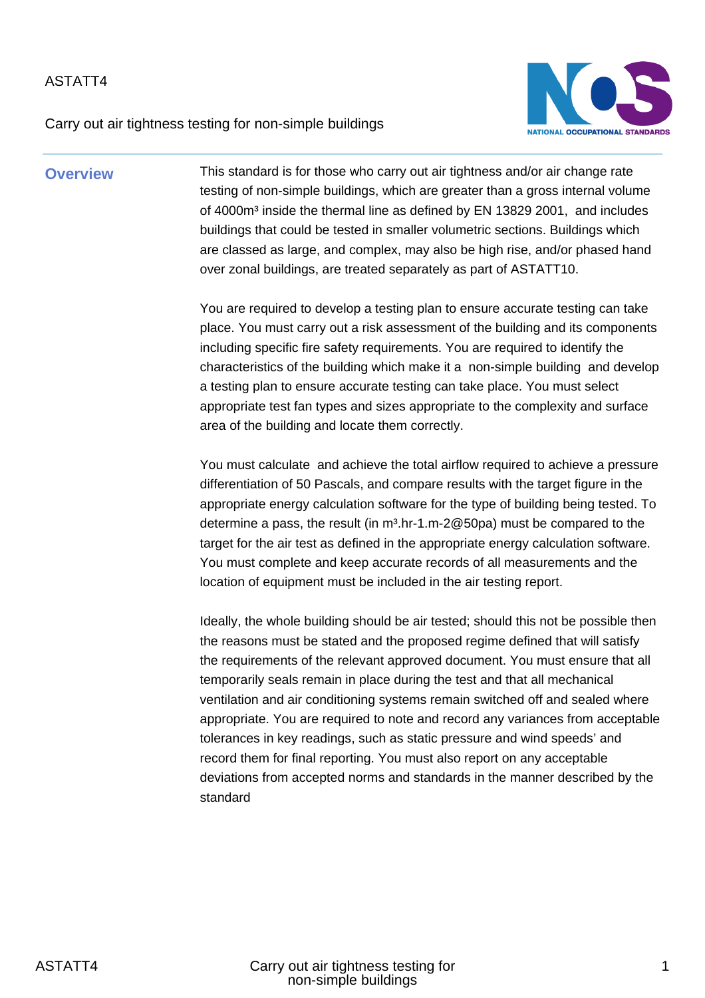Carry out air tightness testing for non-simple buildings



**Overview** This standard is for those who carry out air tightness and/or air change rate testing of non-simple buildings, which are greater than a gross internal volume of 4000m<sup>3</sup> inside the thermal line as defined by EN 13829 2001, and includes buildings that could be tested in smaller volumetric sections. Buildings which are classed as large, and complex, may also be high rise, and/or phased hand over zonal buildings, are treated separately as part of ASTATT10.

> You are required to develop a testing plan to ensure accurate testing can take place. You must carry out a risk assessment of the building and its components including specific fire safety requirements. You are required to identify the characteristics of the building which make it a non-simple building and develop a testing plan to ensure accurate testing can take place. You must select appropriate test fan types and sizes appropriate to the complexity and surface area of the building and locate them correctly.

> You must calculate and achieve the total airflow required to achieve a pressure differentiation of 50 Pascals, and compare results with the target figure in the appropriate energy calculation software for the type of building being tested. To determine a pass, the result (in  $m^3$ .hr-1.m-2@50pa) must be compared to the target for the air test as defined in the appropriate energy calculation software. You must complete and keep accurate records of all measurements and the location of equipment must be included in the air testing report.

> Ideally, the whole building should be air tested; should this not be possible then the reasons must be stated and the proposed regime defined that will satisfy the requirements of the relevant approved document. You must ensure that all temporarily seals remain in place during the test and that all mechanical ventilation and air conditioning systems remain switched off and sealed where appropriate. You are required to note and record any variances from acceptable tolerances in key readings, such as static pressure and wind speeds' and record them for final reporting. You must also report on any acceptable deviations from accepted norms and standards in the manner described by the standard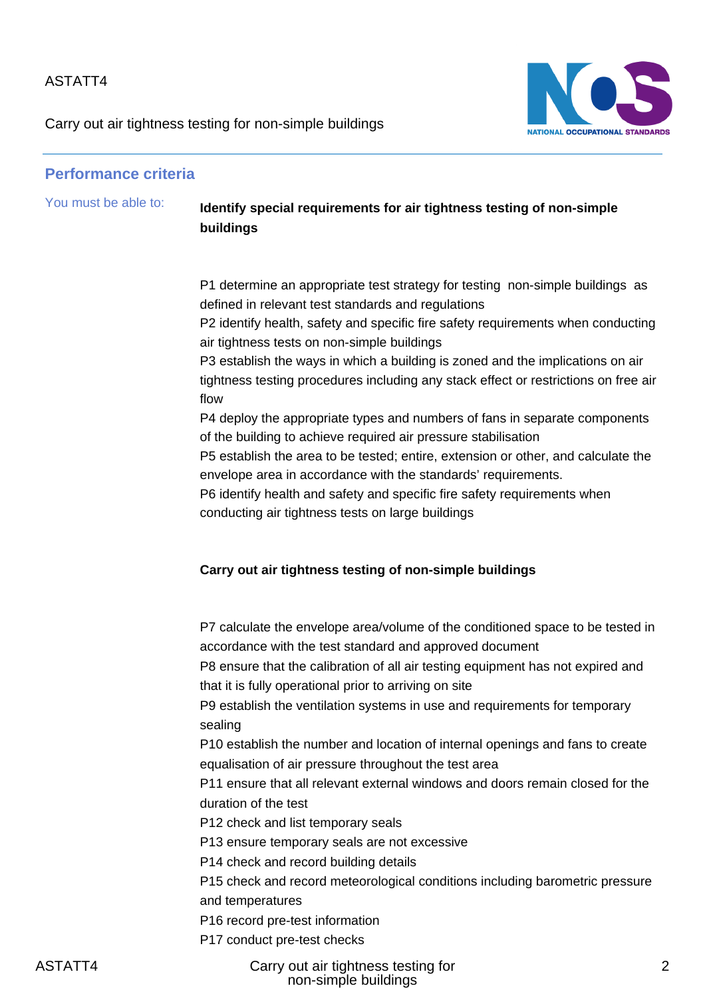Carry out air tightness testing for non-simple buildings



### **Performance criteria**

## You must be able to: **Identify special requirements for air tightness testing of non-simple buildings**

P1 determine an appropriate test strategy for testing non-simple buildings as defined in relevant test standards and regulations

P2 identify health, safety and specific fire safety requirements when conducting air tightness tests on non-simple buildings

P3 establish the ways in which a building is zoned and the implications on air tightness testing procedures including any stack effect or restrictions on free air flow

P4 deploy the appropriate types and numbers of fans in separate components of the building to achieve required air pressure stabilisation

P5 establish the area to be tested; entire, extension or other, and calculate the envelope area in accordance with the standards' requirements.

P6 identify health and safety and specific fire safety requirements when conducting air tightness tests on large buildings

#### **Carry out air tightness testing of non-simple buildings**

P7 calculate the envelope area/volume of the conditioned space to be tested in accordance with the test standard and approved document

P8 ensure that the calibration of all air testing equipment has not expired and that it is fully operational prior to arriving on site

P9 establish the ventilation systems in use and requirements for temporary sealing

P10 establish the number and location of internal openings and fans to create equalisation of air pressure throughout the test area

P11 ensure that all relevant external windows and doors remain closed for the duration of the test

P12 check and list temporary seals

P13 ensure temporary seals are not excessive

P14 check and record building details

P15 check and record meteorological conditions including barometric pressure and temperatures

P16 record pre-test information

P17 conduct pre-test checks

ASTATT4 Carry out air tightness testing for non-simple buildings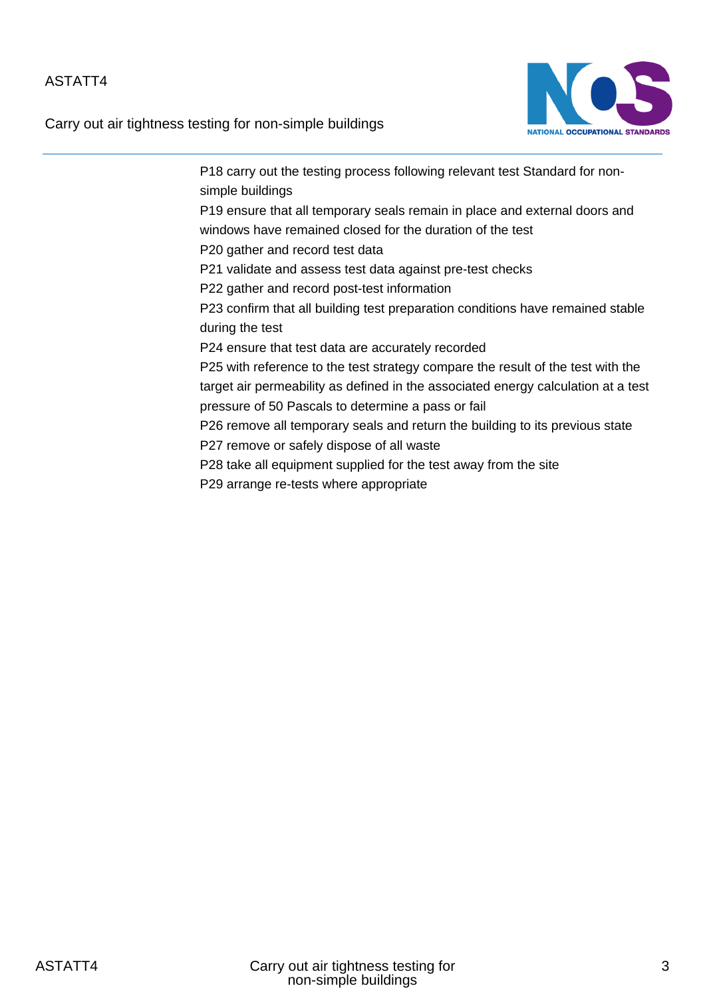Carry out air tightness testing for non-simple buildings



P18 carry out the testing process following relevant test Standard for nonsimple buildings P19 ensure that all temporary seals remain in place and external doors and windows have remained closed for the duration of the test P20 gather and record test data P21 validate and assess test data against pre-test checks P22 gather and record post-test information P23 confirm that all building test preparation conditions have remained stable during the test P24 ensure that test data are accurately recorded P25 with reference to the test strategy compare the result of the test with the target air permeability as defined in the associated energy calculation at a test pressure of 50 Pascals to determine a pass or fail P26 remove all temporary seals and return the building to its previous state P27 remove or safely dispose of all waste P28 take all equipment supplied for the test away from the site P29 arrange re-tests where appropriate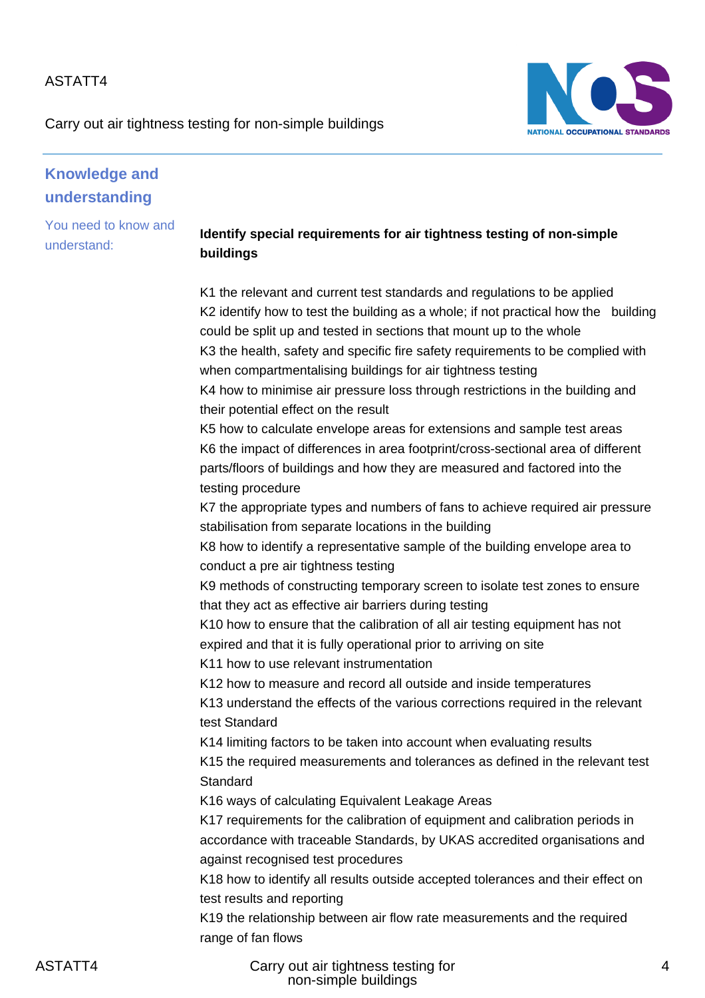Carry out air tightness testing for non-simple buildings



# **Knowledge and understanding**

You need to know and understand:

## **Identify special requirements for air tightness testing of non-simple buildings**

K1 the relevant and current test standards and regulations to be applied K2 identify how to test the building as a whole; if not practical how the building could be split up and tested in sections that mount up to the whole K3 the health, safety and specific fire safety requirements to be complied with when compartmentalising buildings for air tightness testing K4 how to minimise air pressure loss through restrictions in the building and their potential effect on the result K5 how to calculate envelope areas for extensions and sample test areas K6 the impact of differences in area footprint/cross-sectional area of different parts/floors of buildings and how they are measured and factored into the testing procedure K7 the appropriate types and numbers of fans to achieve required air pressure stabilisation from separate locations in the building K8 how to identify a representative sample of the building envelope area to conduct a pre air tightness testing K9 methods of constructing temporary screen to isolate test zones to ensure that they act as effective air barriers during testing K10 how to ensure that the calibration of all air testing equipment has not expired and that it is fully operational prior to arriving on site K11 how to use relevant instrumentation K12 how to measure and record all outside and inside temperatures K13 understand the effects of the various corrections required in the relevant test Standard K14 limiting factors to be taken into account when evaluating results K15 the required measurements and tolerances as defined in the relevant test **Standard** K16 ways of calculating Equivalent Leakage Areas K17 requirements for the calibration of equipment and calibration periods in accordance with traceable Standards, by UKAS accredited organisations and against recognised test procedures K18 how to identify all results outside accepted tolerances and their effect on test results and reporting K19 the relationship between air flow rate measurements and the required range of fan flows

ASTATT4 Carry out air tightness testing for non-simple buildings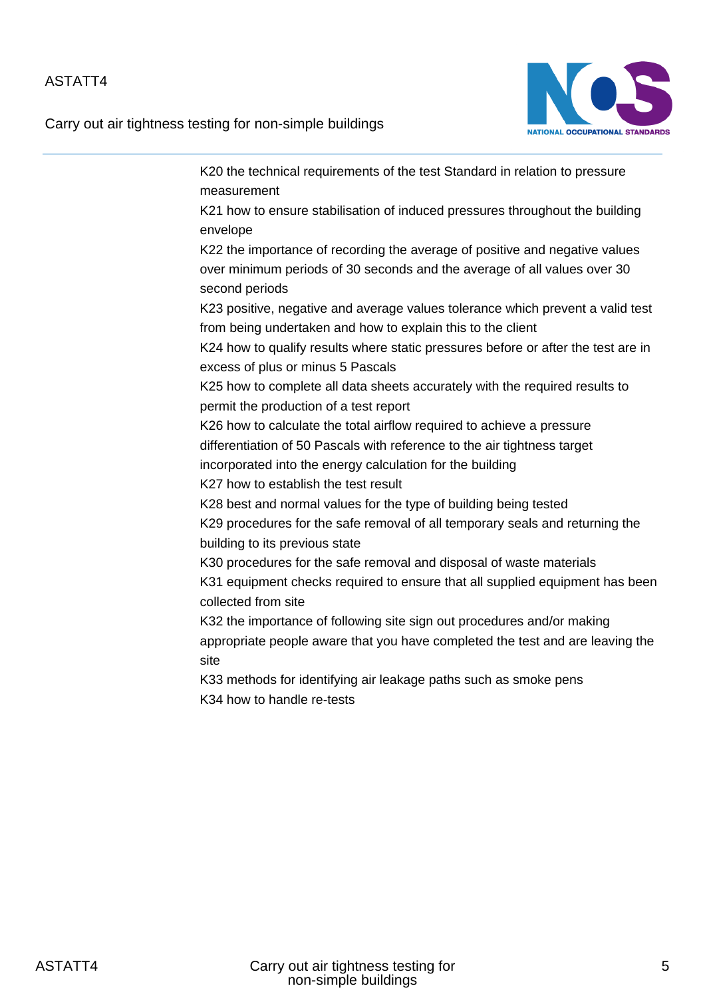Carry out air tightness testing for non-simple buildings



K20 the technical requirements of the test Standard in relation to pressure measurement K21 how to ensure stabilisation of induced pressures throughout the building envelope K22 the importance of recording the average of positive and negative values over minimum periods of 30 seconds and the average of all values over 30 second periods K23 positive, negative and average values tolerance which prevent a valid test from being undertaken and how to explain this to the client K24 how to qualify results where static pressures before or after the test are in excess of plus or minus 5 Pascals K25 how to complete all data sheets accurately with the required results to permit the production of a test report K26 how to calculate the total airflow required to achieve a pressure differentiation of 50 Pascals with reference to the air tightness target incorporated into the energy calculation for the building K27 how to establish the test result K28 best and normal values for the type of building being tested K29 procedures for the safe removal of all temporary seals and returning the building to its previous state K30 procedures for the safe removal and disposal of waste materials K31 equipment checks required to ensure that all supplied equipment has been collected from site K32 the importance of following site sign out procedures and/or making appropriate people aware that you have completed the test and are leaving the site K33 methods for identifying air leakage paths such as smoke pens K34 how to handle re-tests